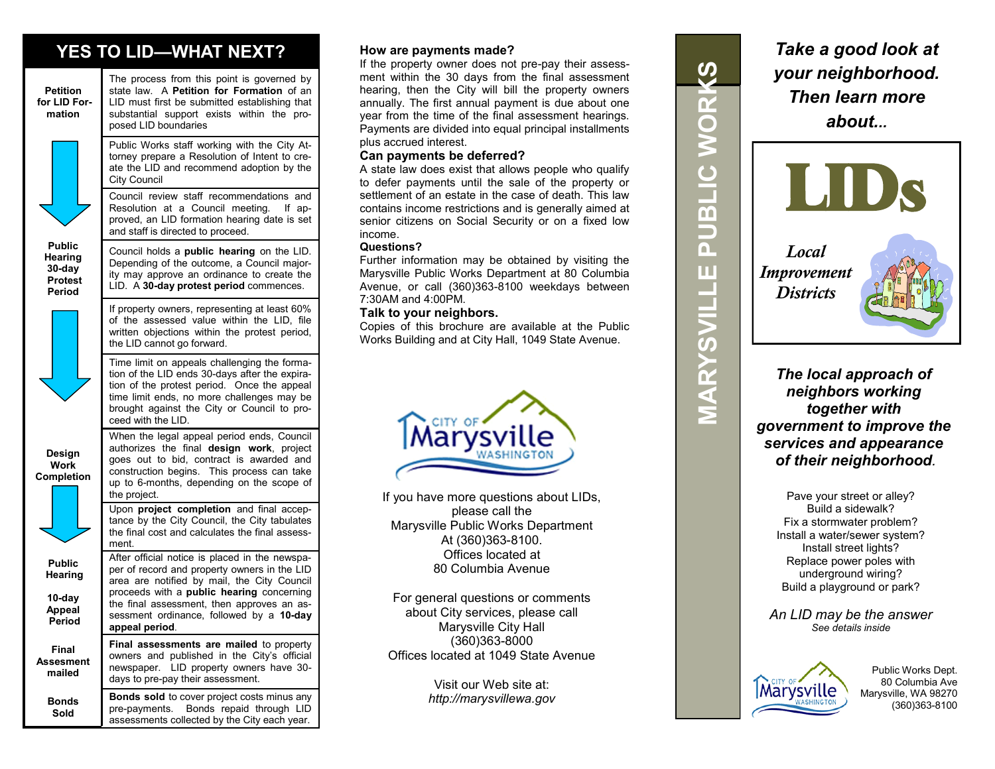## **YES TO LID—WHAT NEXT?**



**Bonds Sold**

authorizes the final **design work**, project goes out to bid, contract is awarded and construction begins. This process can take up to 6-months, depending on the scope of Upon **project completion** and final acceptance by the City Council, the City tabulates the final cost and calculates the final assess-After official notice is placed in the newspaper of record and property owners in the LID area are notified by mail, the City Council proceeds with a **public hearing** concerning the final assessment, then approves an assessment ordinance, followed by a **10-day Final assessments are mailed** to property owners and published in the City's official

**Bonds sold** to cover project costs minus any pre-payments. Bonds repaid through LID assessments collected by the City each year.

days to pre-pay their assessment.

#### **How are payments made?**

If the property owner does not pre-pay their assessment within the 30 days from the final assessment hearing, then the City will bill the property owners annually. The first annual payment is due about one year from the time of the final assessment hearings. Payments are divided into equal principal installments plus accrued interest.

#### **Can payments be deferred?**

A state law does exist that allows people who qualify to defer payments until the sale of the property or settlement of an estate in the case of death. This law contains income restrictions and is generally aimed at senior citizens on Social Security or on a fixed low income.

#### **Questions?**

Further information may be obtained by visiting the Marysville Public Works Department at 80 Columbia Avenue, or call (360)363-8100 weekdays between 7:30AM and 4:00PM.

#### **Talk to your neighbors.**

Copies of this brochure are available at the Public Works Building and at City Hall, 1049 State Avenue.



If you have more questions about LIDs, please call the Marysville Public Works Department At (360)363-8100. Offices located at 80 Columbia Avenue

For general questions or comments about City services, please call Marysville City Hall (360)363-8000 Offices located at 1049 State Avenue

> Visit our Web site at: *http://marysvillewa.gov*

 $\boldsymbol{\omega}$ **MARYSVILLE PUBLIC WORKS**  $\overline{\mathbf{r}}$  $\bigcirc$  $\geq$ **DLIB**  $\overline{\mathsf{a}}$ Ш  $\mathbf{r}$ MARYSVILI

*Take a good look at your neighborhood. Then learn more about...*



*The local approach of neighbors working together with government to improve the services and appearance of their neighborhood.*

> Pave your street or alley? Build a sidewalk? Fix a stormwater problem? Install a water/sewer system? Install street lights? Replace power poles with underground wiring? Build a playground or park?

*An LID may be the answer See details inside*



Public Works Dept. 80 Columbia Ave Marysville, WA 98270 (360)363-8100